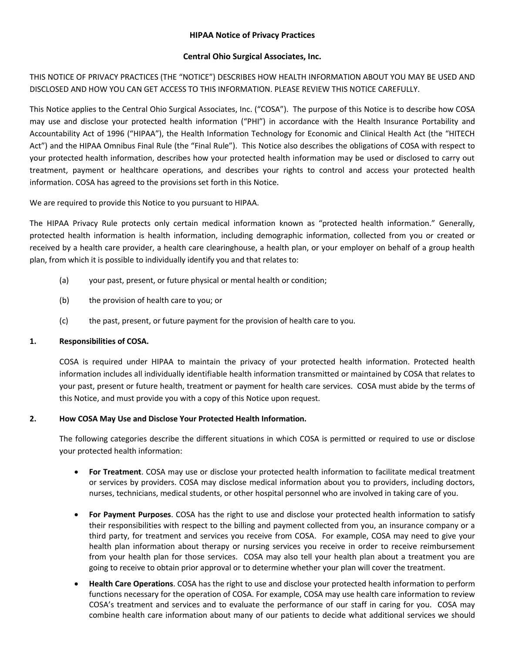## **HIPAA Notice of Privacy Practices**

#### **Central Ohio Surgical Associates, Inc.**

THIS NOTICE OF PRIVACY PRACTICES (THE "NOTICE") DESCRIBES HOW HEALTH INFORMATION ABOUT YOU MAY BE USED AND DISCLOSED AND HOW YOU CAN GET ACCESS TO THIS INFORMATION. PLEASE REVIEW THIS NOTICE CAREFULLY.

This Notice applies to the Central Ohio Surgical Associates, Inc. ("COSA"). The purpose of this Notice is to describe how COSA may use and disclose your protected health information ("PHI") in accordance with the Health Insurance Portability and Accountability Act of 1996 ("HIPAA"), the Health Information Technology for Economic and Clinical Health Act (the "HITECH Act") and the HIPAA Omnibus Final Rule (the "Final Rule"). This Notice also describes the obligations of COSA with respect to your protected health information, describes how your protected health information may be used or disclosed to carry out treatment, payment or healthcare operations, and describes your rights to control and access your protected health information. COSA has agreed to the provisions set forth in this Notice.

We are required to provide this Notice to you pursuant to HIPAA.

The HIPAA Privacy Rule protects only certain medical information known as "protected health information." Generally, protected health information is health information, including demographic information, collected from you or created or received by a health care provider, a health care clearinghouse, a health plan, or your employer on behalf of a group health plan, from which it is possible to individually identify you and that relates to:

- (a) your past, present, or future physical or mental health or condition;
- (b) the provision of health care to you; or
- (c) the past, present, or future payment for the provision of health care to you.

## **1. Responsibilities of COSA.**

COSA is required under HIPAA to maintain the privacy of your protected health information. Protected health information includes all individually identifiable health information transmitted or maintained by COSA that relates to your past, present or future health, treatment or payment for health care services. COSA must abide by the terms of this Notice, and must provide you with a copy of this Notice upon request.

## **2. How COSA May Use and Disclose Your Protected Health Information.**

The following categories describe the different situations in which COSA is permitted or required to use or disclose your protected health information:

- **For Treatment**. COSA may use or disclose your protected health information to facilitate medical treatment or services by providers. COSA may disclose medical information about you to providers, including doctors, nurses, technicians, medical students, or other hospital personnel who are involved in taking care of you.
- **For Payment Purposes**. COSA has the right to use and disclose your protected health information to satisfy their responsibilities with respect to the billing and payment collected from you, an insurance company or a third party, for treatment and services you receive from COSA. For example, COSA may need to give your health plan information about therapy or nursing services you receive in order to receive reimbursement from your health plan for those services. COSA may also tell your health plan about a treatment you are going to receive to obtain prior approval or to determine whether your plan will cover the treatment.
- **Health Care Operations**. COSA has the right to use and disclose your protected health information to perform functions necessary for the operation of COSA. For example, COSA may use health care information to review COSA's treatment and services and to evaluate the performance of our staff in caring for you. COSA may combine health care information about many of our patients to decide what additional services we should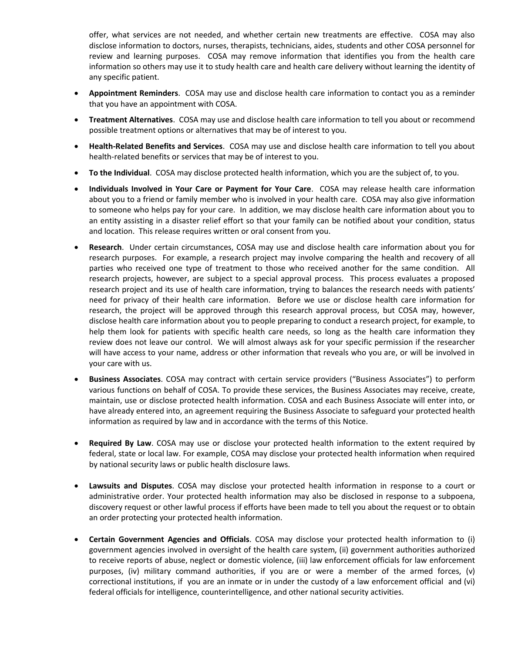offer, what services are not needed, and whether certain new treatments are effective. COSA may also disclose information to doctors, nurses, therapists, technicians, aides, students and other COSA personnel for review and learning purposes. COSA may remove information that identifies you from the health care information so others may use it to study health care and health care delivery without learning the identity of any specific patient.

- **Appointment Reminders**. COSA may use and disclose health care information to contact you as a reminder that you have an appointment with COSA.
- **Treatment Alternatives**. COSA may use and disclose health care information to tell you about or recommend possible treatment options or alternatives that may be of interest to you.
- **Health-Related Benefits and Services**. COSA may use and disclose health care information to tell you about health-related benefits or services that may be of interest to you.
- **To the Individual**. COSA may disclose protected health information, which you are the subject of, to you.
- **Individuals Involved in Your Care or Payment for Your Care**. COSA may release health care information about you to a friend or family member who is involved in your health care. COSA may also give information to someone who helps pay for your care. In addition, we may disclose health care information about you to an entity assisting in a disaster relief effort so that your family can be notified about your condition, status and location. This release requires written or oral consent from you.
- **Research**. Under certain circumstances, COSA may use and disclose health care information about you for research purposes. For example, a research project may involve comparing the health and recovery of all parties who received one type of treatment to those who received another for the same condition. All research projects, however, are subject to a special approval process. This process evaluates a proposed research project and its use of health care information, trying to balances the research needs with patients' need for privacy of their health care information. Before we use or disclose health care information for research, the project will be approved through this research approval process, but COSA may, however, disclose health care information about you to people preparing to conduct a research project, for example, to help them look for patients with specific health care needs, so long as the health care information they review does not leave our control. We will almost always ask for your specific permission if the researcher will have access to your name, address or other information that reveals who you are, or will be involved in your care with us.
- **Business Associates**. COSA may contract with certain service providers ("Business Associates") to perform various functions on behalf of COSA. To provide these services, the Business Associates may receive, create, maintain, use or disclose protected health information. COSA and each Business Associate will enter into, or have already entered into, an agreement requiring the Business Associate to safeguard your protected health information as required by law and in accordance with the terms of this Notice.
- **Required By Law**. COSA may use or disclose your protected health information to the extent required by federal, state or local law. For example, COSA may disclose your protected health information when required by national security laws or public health disclosure laws.
- **Lawsuits and Disputes**. COSA may disclose your protected health information in response to a court or administrative order. Your protected health information may also be disclosed in response to a subpoena, discovery request or other lawful process if efforts have been made to tell you about the request or to obtain an order protecting your protected health information.
- **Certain Government Agencies and Officials**. COSA may disclose your protected health information to (i) government agencies involved in oversight of the health care system, (ii) government authorities authorized to receive reports of abuse, neglect or domestic violence, (iii) law enforcement officials for law enforcement purposes, (iv) military command authorities, if you are or were a member of the armed forces, (v) correctional institutions, if you are an inmate or in under the custody of a law enforcement official and (vi) federal officials for intelligence, counterintelligence, and other national security activities.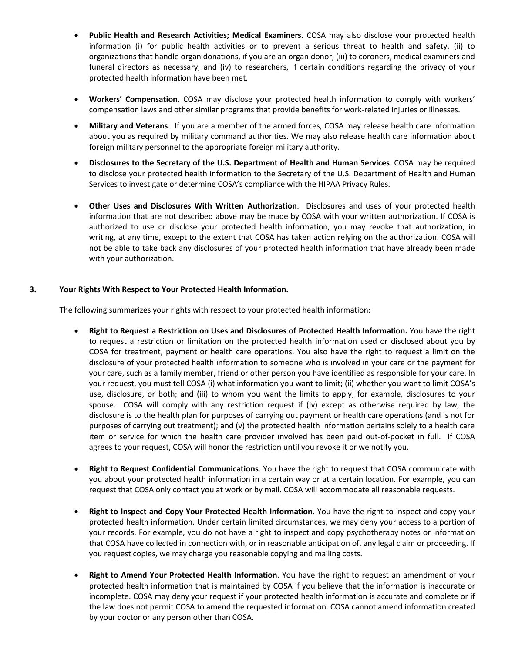- **Public Health and Research Activities; Medical Examiners**. COSA may also disclose your protected health information (i) for public health activities or to prevent a serious threat to health and safety, (ii) to organizations that handle organ donations, if you are an organ donor, (iii) to coroners, medical examiners and funeral directors as necessary, and (iv) to researchers, if certain conditions regarding the privacy of your protected health information have been met.
- **Workers' Compensation**. COSA may disclose your protected health information to comply with workers' compensation laws and other similar programs that provide benefits for work-related injuries or illnesses.
- **Military and Veterans**. If you are a member of the armed forces, COSA may release health care information about you as required by military command authorities. We may also release health care information about foreign military personnel to the appropriate foreign military authority.
- **Disclosures to the Secretary of the U.S. Department of Health and Human Services**. COSA may be required to disclose your protected health information to the Secretary of the U.S. Department of Health and Human Services to investigate or determine COSA's compliance with the HIPAA Privacy Rules.
- **Other Uses and Disclosures With Written Authorization**. Disclosures and uses of your protected health information that are not described above may be made by COSA with your written authorization. If COSA is authorized to use or disclose your protected health information, you may revoke that authorization, in writing, at any time, except to the extent that COSA has taken action relying on the authorization. COSA will not be able to take back any disclosures of your protected health information that have already been made with your authorization.

## **3. Your Rights With Respect to Your Protected Health Information.**

The following summarizes your rights with respect to your protected health information:

- **Right to Request a Restriction on Uses and Disclosures of Protected Health Information.** You have the right to request a restriction or limitation on the protected health information used or disclosed about you by COSA for treatment, payment or health care operations. You also have the right to request a limit on the disclosure of your protected health information to someone who is involved in your care or the payment for your care, such as a family member, friend or other person you have identified as responsible for your care. In your request, you must tell COSA (i) what information you want to limit; (ii) whether you want to limit COSA's use, disclosure, or both; and (iii) to whom you want the limits to apply, for example, disclosures to your spouse. COSA will comply with any restriction request if (iv) except as otherwise required by law, the disclosure is to the health plan for purposes of carrying out payment or health care operations (and is not for purposes of carrying out treatment); and (v) the protected health information pertains solely to a health care item or service for which the health care provider involved has been paid out-of-pocket in full. If COSA agrees to your request, COSA will honor the restriction until you revoke it or we notify you.
- **Right to Request Confidential Communications**. You have the right to request that COSA communicate with you about your protected health information in a certain way or at a certain location. For example, you can request that COSA only contact you at work or by mail. COSA will accommodate all reasonable requests.
- **Right to Inspect and Copy Your Protected Health Information**. You have the right to inspect and copy your protected health information. Under certain limited circumstances, we may deny your access to a portion of your records. For example, you do not have a right to inspect and copy psychotherapy notes or information that COSA have collected in connection with, or in reasonable anticipation of, any legal claim or proceeding. If you request copies, we may charge you reasonable copying and mailing costs.
- **Right to Amend Your Protected Health Information**. You have the right to request an amendment of your protected health information that is maintained by COSA if you believe that the information is inaccurate or incomplete. COSA may deny your request if your protected health information is accurate and complete or if the law does not permit COSA to amend the requested information. COSA cannot amend information created by your doctor or any person other than COSA.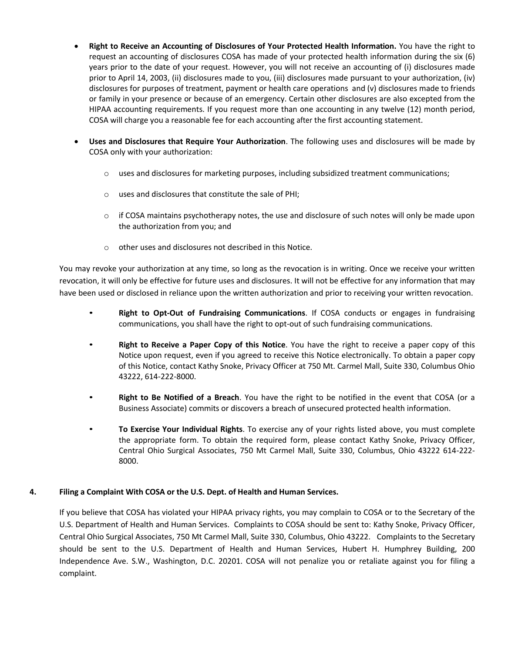- **Right to Receive an Accounting of Disclosures of Your Protected Health Information.** You have the right to request an accounting of disclosures COSA has made of your protected health information during the six (6) years prior to the date of your request. However, you will not receive an accounting of (i) disclosures made prior to April 14, 2003, (ii) disclosures made to you, (iii) disclosures made pursuant to your authorization, (iv) disclosures for purposes of treatment, payment or health care operations and (v) disclosures made to friends or family in your presence or because of an emergency. Certain other disclosures are also excepted from the HIPAA accounting requirements. If you request more than one accounting in any twelve (12) month period, COSA will charge you a reasonable fee for each accounting after the first accounting statement.
- **Uses and Disclosures that Require Your Authorization**. The following uses and disclosures will be made by COSA only with your authorization:
	- $\circ$  uses and disclosures for marketing purposes, including subsidized treatment communications;
	- o uses and disclosures that constitute the sale of PHI;
	- $\circ$  if COSA maintains psychotherapy notes, the use and disclosure of such notes will only be made upon the authorization from you; and
	- o other uses and disclosures not described in this Notice.

You may revoke your authorization at any time, so long as the revocation is in writing. Once we receive your written revocation, it will only be effective for future uses and disclosures. It will not be effective for any information that may have been used or disclosed in reliance upon the written authorization and prior to receiving your written revocation.

- **Right to Opt-Out of Fundraising Communications**. If COSA conducts or engages in fundraising communications, you shall have the right to opt-out of such fundraising communications.
- **Right to Receive a Paper Copy of this Notice**. You have the right to receive a paper copy of this Notice upon request, even if you agreed to receive this Notice electronically. To obtain a paper copy of this Notice, contact Kathy Snoke, Privacy Officer at 750 Mt. Carmel Mall, Suite 330, Columbus Ohio 43222, 614-222-8000.
- **Right to Be Notified of a Breach**. You have the right to be notified in the event that COSA (or a Business Associate) commits or discovers a breach of unsecured protected health information.
- **To Exercise Your Individual Rights**. To exercise any of your rights listed above, you must complete the appropriate form. To obtain the required form, please contact Kathy Snoke, Privacy Officer, Central Ohio Surgical Associates, 750 Mt Carmel Mall, Suite 330, Columbus, Ohio 43222 614-222- 8000.

## **4. Filing a Complaint With COSA or the U.S. Dept. of Health and Human Services.**

If you believe that COSA has violated your HIPAA privacy rights, you may complain to COSA or to the Secretary of the U.S. Department of Health and Human Services. Complaints to COSA should be sent to: Kathy Snoke, Privacy Officer, Central Ohio Surgical Associates, 750 Mt Carmel Mall, Suite 330, Columbus, Ohio 43222. Complaints to the Secretary should be sent to the U.S. Department of Health and Human Services, Hubert H. Humphrey Building, 200 Independence Ave. S.W., Washington, D.C. 20201. COSA will not penalize you or retaliate against you for filing a complaint.